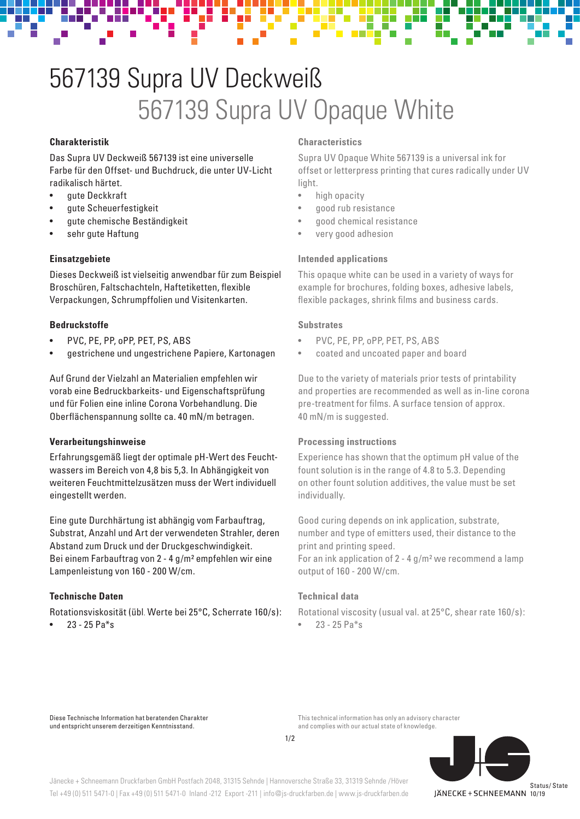# 567139 Supra UV Deckweiß 567139 Supra UV Opaque White

# **Charakteristik**

Das Supra UV Deckweiß 567139 ist eine universelle Farbe für den Offset- und Buchdruck, die unter UV-Licht radikalisch härtet.

- gute Deckkraft
- gute Scheuerfestigkeit
- gute chemische Beständigkeit
- sehr gute Haftung

## **Einsatzgebiete**

Dieses Deckweiß ist vielseitig anwendbar für zum Beispiel Broschüren, Faltschachteln, Haftetiketten, flexible Verpackungen, Schrumpffolien und Visitenkarten.

## **Bedruckstoffe**

- PVC, PE, PP, oPP, PET, PS, ABS
- gestrichene und ungestrichene Papiere, Kartonagen

Auf Grund der Vielzahl an Materialien empfehlen wir vorab eine Bedruckbarkeits- und Eigenschaftsprüfung und für Folien eine inline Corona Vorbehandlung. Die Oberflächenspannung sollte ca. 40 mN/m betragen.

## **Verarbeitungshinweise**

Erfahrungsgemäß liegt der optimale pH-Wert des Feuchtwassers im Bereich von 4,8 bis 5,3. In Abhängigkeit von weiteren Feuchtmittelzusätzen muss der Wert individuell eingestellt werden.

Eine gute Durchhärtung ist abhängig vom Farbauftrag, Substrat, Anzahl und Art der verwendeten Strahler, deren Abstand zum Druck und der Druckgeschwindigkeit. Bei einem Farbauftrag von 2 - 4 g/m² empfehlen wir eine Lampenleistung von 160 - 200 W/cm.

# **Technische Daten**

Rotationsviskosität (übl. Werte bei 25°C, Scherrate 160/s):

 $23 - 25$  Pa $*$ s

### **Characteristics**

Supra UV Opaque White 567139 is a universal ink for offset or letterpress printing that cures radically under UV light.

- high opacity
- good rub resistance
- good chemical resistance
- very good adhesion

#### **Intended applications**

This opaque white can be used in a variety of ways for example for brochures, folding boxes, adhesive labels, flexible packages, shrink films and business cards.

## **Substrates**

- PVC, PE, PP, oPP, PET, PS, ABS
- coated and uncoated paper and board

Due to the variety of materials prior tests of printability and properties are recommended as well as in-line corona pre-treatment for films. A surface tension of approx. 40 mN/m is suggested.

## **Processing instructions**

Experience has shown that the optimum pH value of the fount solution is in the range of 4.8 to 5.3. Depending on other fount solution additives, the value must be set individually.

Good curing depends on ink application, substrate, number and type of emitters used, their distance to the print and printing speed.

For an ink application of 2 - 4 g/m² we recommend a lamp output of 160 - 200 W/cm.

# **Technical data**

Rotational viscosity (usual val. at 25°C, shear rate 160/s):

 $23 - 25$  Pa<sup>\*</sup>s

Diese Technische Information hat beratenden Charakter und entspricht unserem derzeitigen Kenntnisstand.

This technical information has only an advisory character and complies with our actual state of knowledge.



Jänecke + Schneemann Druckfarben GmbH Postfach 2048, 31315 Sehnde | Hannoversche Straße 33, 31319 Sehnde /Höver Tel +49 (0) 511 5471-0 | Fax +49 (0) 511 5471-0 Inland -212 Export -211 | info@js-druckfarben.de | www.js-druckfarben.de